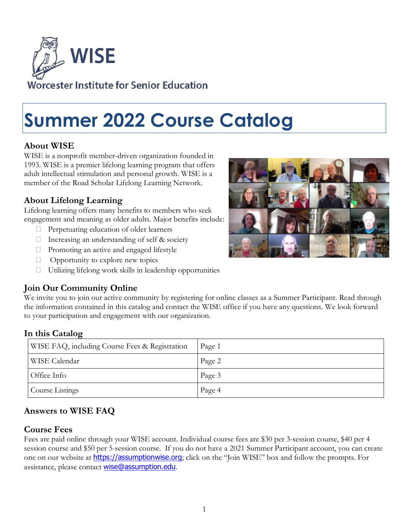

# **Summer 2022 Course Catalog**

## **About WISE**

WISE is a nonprofit member-driven organization founded in 1993. WISE is a premier lifelong learning program that offers adult intellectual stimulation and personal growth. WISE is a member of the Road Scholar Lifelong Learning Network.

## **About Lifelong Learning**

Lifelong learning offers many benefits to members who seek engagement and meaning as older adults. Major benefits include:

- $\Box$  Perpetuating education of older learners
- $\Box$  Increasing an understanding of self & society
- $\Box$  Promoting an active and engaged lifestyle
- $\Box$  Opportunity to explore new topics
- $\Box$  Utilizing lifelong work skills in leadership opportunities

## **Join Our Community Online**

We invite you to join our active community by registering for online classes as a Summer Participant. Read through the information contained in this catalog and contact the WISE office if you have any questions. We look forward to your participation and engagement with our organization.

#### **In this Catalog**

| WISE FAQ, including Course Fees & Registration | Page 1 |
|------------------------------------------------|--------|
| WISE Calendar                                  | Page 2 |
| Office Info                                    | Page 3 |
| Course Listings                                | Page 4 |

## **Answers to WISE FAQ**

#### **Course Fees**

Fees are paid online through your WISE account. Individual course fees are \$30 per 3-session course, \$40 per 4 session course and \$50 per 5-session course. If you do not have a 2021 Summer Participant account, you can create one on our website at **[https://assumptionwise.org](https://assumptionwise.org/)**; click on the "Join WISE" box and follow the prompts. For assistance, please contact [wise@assumption.edu](mailto:wise@assumption.edu).

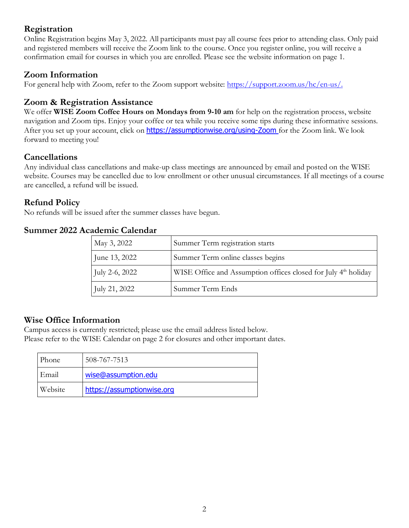## **Registration**

Online Registration begins May 3, 2022. All participants must pay all course fees prior to attending class. Only paid and registered members will receive the Zoom link to the course. Once you register online, you will receive a confirmation email for courses in which you are enrolled. Please see the website information on page 1.

## **Zoom Information**

For general help with Zoom, refer to the Zoom support website: [https://support.zoom.us/hc/en-us/.](https://support.zoom.us/hc/en-us/)

## **Zoom & Registration Assistance**

We offer **WISE Zoom Coffee Hours on Mondays from 9-10 am** for help on the registration process, website navigation and Zoom tips. Enjoy your coffee or tea while you receive some tips during these informative sessions. After you set up your account, click on <https://assumptionwise.org/using-Zoom> for the Zoom link. We look forward to meeting you!

## **Cancellations**

Any individual class cancellations and make-up class meetings are announced by email and posted on the WISE website. Courses may be cancelled due to low enrollment or other unusual circumstances. If all meetings of a course are cancelled, a refund will be issued.

## **Refund Policy**

No refunds will be issued after the summer classes have begun.

#### **Summer 2022 Academic Calendar**

| May 3, 2022           | Summer Term registration starts                                            |
|-----------------------|----------------------------------------------------------------------------|
| June 13, 2022         | Summer Term online classes begins                                          |
| <b>July 2-6, 2022</b> | WISE Office and Assumption offices closed for July 4 <sup>th</sup> holiday |
| <b>July 21, 2022</b>  | Summer Term Ends                                                           |

#### **Wise Office Information**

Campus access is currently restricted; please use the email address listed below. Please refer to the WISE Calendar on page 2 for closures and other important dates.

| <b>Phone</b> | 508-767-7513               |
|--------------|----------------------------|
| Email        | wise@assumption.edu        |
| Website      | https://assumptionwise.org |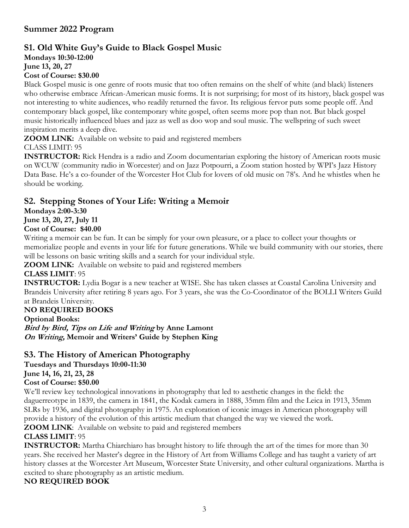## **Summer 2022 Program**

## **S1. Old White Guy's Guide to Black Gospel Music**

**Mondays 10:30-12:00**

**June 13, 20, 27**

#### **Cost of Course: \$30.00**

Black Gospel music is one genre of roots music that too often remains on the shelf of white (and black) listeners who otherwise embrace African-American music forms. It is not surprising; for most of its history, black gospel was not interesting to white audiences, who readily returned the favor. Its religious fervor puts some people off. And contemporary black gospel, like contemporary white gospel, often seems more pop than not. But black gospel music historically influenced blues and jazz as well as doo wop and soul music. The wellspring of such sweet inspiration merits a deep dive.

**ZOOM LINK:** Available on website to paid and registered members

CLASS LIMIT: 95

**INSTRUCTOR:** Rick Hendra is a radio and Zoom documentarian exploring the history of American roots music on WCUW (community radio in Worcester) and on Jazz Potpourri, a Zoom station hosted by WPI's Jazz History Data Base. He's a co-founder of the Worcester Hot Club for lovers of old music on 78's. And he whistles when he should be working.

#### **S2. Stepping Stones of Your Life: Writing a Memoir**

**Mondays 2:00-3:30**

## **June 13, 20, 27, July 11**

#### **Cost of Course: \$40.00**

Writing a memoir can be fun. It can be simply for your own pleasure, or a place to collect your thoughts or memorialize people and events in your life for future generations. While we build community with our stories, there will be lessons on basic writing skills and a search for your individual style.

**ZOOM LINK:** Available on website to paid and registered members

#### **CLASS LIMIT**: 95

**INSTRUCTOR:** Lydia Bogar is a new teacher at WISE. She has taken classes at Coastal Carolina University and Brandeis University after retiring 8 years ago. For 3 years, she was the Co-Coordinator of the BOLLI Writers Guild at Brandeis University.

#### **NO REQUIRED BOOKS**

**Optional Books:**

**Bird by Bird, Tips on Life and Writing by Anne Lamont On Writing, Memoir and Writers' Guide by Stephen King**

## **S3. The History of American Photography**

**Tuesdays and Thursdays 10:00-11:30**

**June 14, 16, 21, 23, 28**

#### **Cost of Course: \$50.00**

We'll review key technological innovations in photography that led to aesthetic changes in the field: the daguerreotype in 1839, the camera in 1841, the Kodak camera in 1888, 35mm film and the Leica in 1913, 35mm SLRs by 1936, and digital photography in 1975. An exploration of iconic images in American photography will provide a history of the evolution of this artistic medium that changed the way we viewed the work.

**ZOOM LINK**: Available on website to paid and registered members

#### **CLASS LIMIT**: 95

**INSTRUCTOR:** Martha Chiarchiaro has brought history to life through the art of the times for more than 30 years. She received her Master's degree in the History of Art from Williams College and has taught a variety of art history classes at the Worcester Art Museum, Worcester State University, and other cultural organizations. Martha is excited to share photography as an artistic medium.

#### **NO REQUIRED BOOK**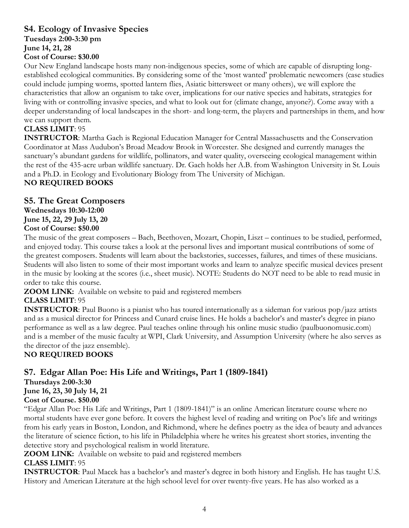#### **S4. Ecology of Invasive Species**

**Tuesdays 2:00-3:30 pm**

**June 14, 21, 28**

#### **Cost of Course: \$30.00**

Our New England landscape hosts many non-indigenous species, some of which are capable of disrupting longestablished ecological communities. By considering some of the 'most wanted' problematic newcomers (case studies could include jumping worms, spotted lantern flies, Asiatic bittersweet or many others), we will explore the characteristics that allow an organism to take over, implications for our native species and habitats, strategies for living with or controlling invasive species, and what to look out for (climate change, anyone?). Come away with a deeper understanding of local landscapes in the short- and long-term, the players and partnerships in them, and how we can support them.

#### **CLASS LIMIT**: 95

**INSTRUCTOR**: Martha Gach is Regional Education Manager for Central Massachusetts and the Conservation Coordinator at Mass Audubon's Broad Meadow Brook in Worcester. She designed and currently manages the sanctuary's abundant gardens for wildlife, pollinators, and water quality, overseeing ecological management within the rest of the 435-acre urban wildlife sanctuary. Dr. Gach holds her A.B. from Washington University in St. Louis and a Ph.D. in Ecology and Evolutionary Biology from The University of Michigan.

## **NO REQUIRED BOOKS**

## **S5. The Great Composers**

**Wednesdays 10:30-12:00 June 15, 22, 29 July 13, 20 Cost of Course: \$50.00**

The music of the great composers – Bach, Beethoven, Mozart, Chopin, Liszt – continues to be studied, performed, and enjoyed today. This course takes a look at the personal lives and important musical contributions of some of the greatest composers. Students will learn about the backstories, successes, failures, and times of these musicians. Students will also listen to some of their most important works and learn to analyze specific musical devices present in the music by looking at the scores (i.e., sheet music). NOTE: Students do NOT need to be able to read music in order to take this course.

**ZOOM LINK:** Available on website to paid and registered members

#### **CLASS LIMIT**: 95

**INSTRUCTOR**: Paul Buono is a pianist who has toured internationally as a sideman for various pop/jazz artists and as a musical director for Princess and Cunard cruise lines. He holds a bachelor's and master's degree in piano performance as well as a law degree. Paul teaches online through his online music studio (paulbuonomusic.com) and is a member of the music faculty at WPI, Clark University, and Assumption University (where he also serves as the director of the jazz ensemble).

#### **NO REQUIRED BOOKS**

## **S7. Edgar Allan Poe: His Life and Writings, Part 1 (1809-1841)**

**Thursdays 2:00-3:30 June 16, 23, 30 July 14, 21 Cost of Course. \$50.00**

"Edgar Allan Poe: His Life and Writings, Part 1 (1809-1841)" is an online American literature course where no mortal students have ever gone before. It covers the highest level of reading and writing on Poe's life and writings from his early years in Boston, London, and Richmond, where he defines poetry as the idea of beauty and advances the literature of science fiction, to his life in Philadelphia where he writes his greatest short stories, inventing the detective story and psychological realism in world literature.

**ZOOM LINK:** Available on website to paid and registered members **CLASS LIMIT**: 95

**INSTRUCTOR**: Paul Macek has a bachelor's and master's degree in both history and English. He has taught U.S. History and American Literature at the high school level for over twenty-five years. He has also worked as a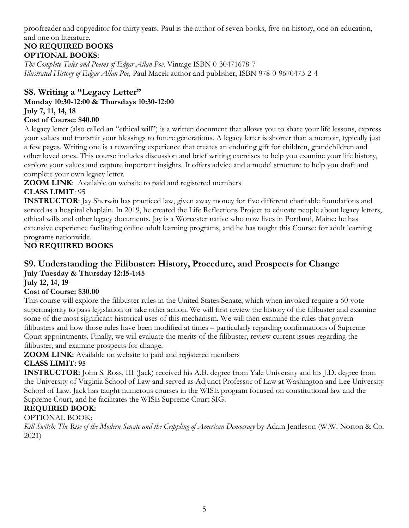proofreader and copyeditor for thirty years. Paul is the author of seven books, five on history, one on education, and one on literature.

## **NO REQUIRED BOOKS OPTIONAL BOOKS:**

*The Complete Tales and Poems of Edgar Allan Poe*. Vintage ISBN 0-30471678-7 *Illustrated History of Edgar Allan Poe,* Paul Macek author and publisher, ISBN 978-0-9670473-2-4

## **S8. Writing a "Legacy Letter"**

**Monday 10:30-12:00 & Thursdays 10:30-12:00 July 7, 11, 14, 18 Cost of Course: \$40.00**

A legacy letter (also called an "ethical will") is a written document that allows you to share your life lessons, express your values and transmit your blessings to future generations. A legacy letter is shorter than a memoir, typically just a few pages. Writing one is a rewarding experience that creates an enduring gift for children, grandchildren and other loved ones. This course includes discussion and brief writing exercises to help you examine your life history, explore your values and capture important insights. It offers advice and a model structure to help you draft and complete your own legacy letter.

**ZOOM LINK**: Available on website to paid and registered members

## **CLASS LIMIT**: 95

**INSTRUCTOR**: Jay Sherwin has practiced law, given away money for five different charitable foundations and served as a hospital chaplain. In 2019, he created the Life Reflections Project to educate people about legacy letters, ethical wills and other legacy documents. Jay is a Worcester native who now lives in Portland, Maine; he has extensive experience facilitating online adult learning programs, and he has taught this Course: for adult learning programs nationwide.

## **NO REQUIRED BOOKS**

## **S9. Understanding the Filibuster: History, Procedure, and Prospects for Change July Tuesday & Thursday 12:15-1:45**

**July 12, 14, 19**

#### **Cost of Course: \$30.00**

This course will explore the filibuster rules in the United States Senate, which when invoked require a 60-vote supermajority to pass legislation or take other action. We will first review the history of the filibuster and examine some of the most significant historical uses of this mechanism. We will then examine the rules that govern filibusters and how those rules have been modified at times – particularly regarding confirmations of Supreme Court appointments. Finally, we will evaluate the merits of the filibuster, review current issues regarding the filibuster, and examine prospects for change.

**ZOOM LINK:** Available on website to paid and registered members

## **CLASS LIMIT: 95**

**INSTRUCTOR:** John S. Ross, III (Jack) received his A.B. degree from Yale University and his J.D. degree from the University of Virginia School of Law and served as Adjunct Professor of Law at Washington and Lee University School of Law. Jack has taught numerous courses in the WISE program focused on constitutional law and the Supreme Court, and he facilitates the WISE Supreme Court SIG.

## **REQUIRED BOOK:**

#### OPTIONAL BOOK:

*Kill Switch: The Rise of the Modern Senate and the Crippling of American Democracy* by Adam Jentleson (W.W. Norton & Co. 2021)